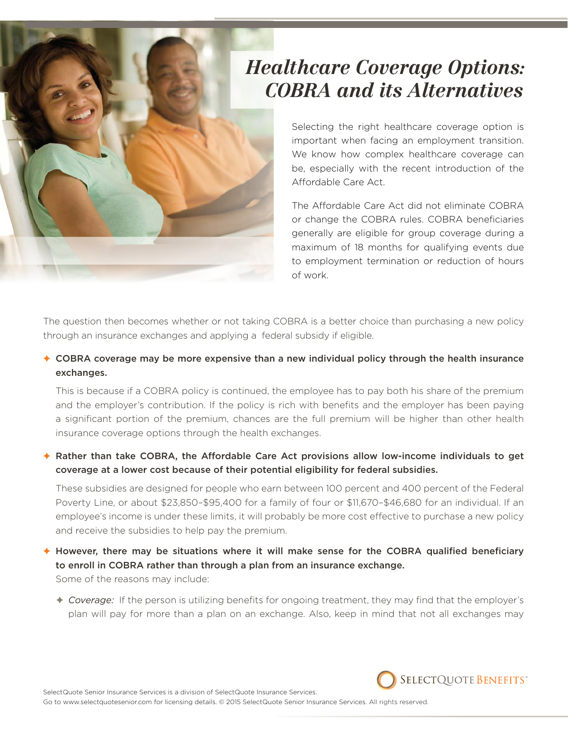# *Healthcare Coverage Options: COBRA and its Alternatives*

Selecting the right healthcare coverage option is important when facing an employment transition. We know how complex healthcare coverage can be, especially with the recent introduction of the Affordable Care Act.

The Affordable Care Act did not eliminate COBRA or change the COBRA rules. COBRA beneficiaries generally are eligible for group coverage during a maximum of 18 months for qualifying events due to employment termination or reduction of hours of work.

The question then becomes whether or not taking COBRA is a better choice than purchasing a new policy through an insurance exchanges and applying a federal subsidy if eligible.

 $\triangle$  COBRA coverage may be more expensive than a new individual policy through the health insurance exchanges.

This is because if a COBRA policy is continued, the employee has to pay both his share of the premium and the employer's contribution. If the policy is rich with benefits and the employer has been paying a significant portion of the premium, chances are the full premium will be higher than other health insurance coverage options through the health exchanges.

#### ✦ Rather than take COBRA, the Affordable Care Act provisions allow low-income individuals to get coverage at a lower cost because of their potential eligibility for federal subsidies.

These subsidies are designed for people who earn between 100 percent and 400 percent of the Federal Poverty Line, or about \$23,850–\$95,400 for a family of four or \$11,670–\$46,680 for an individual. If an employee's income is under these limits, it will probably be more cost effective to purchase a new policy and receive the subsidies to help pay the premium.

✦ However, there may be situations where it will make sense for the COBRA qualified beneficiary to enroll in COBRA rather than through a plan from an insurance exchange. Some of the reasons may include:

✦ *Coverage:* If the person is utilizing benefits for ongoing treatment, they may find that the employer's plan will pay for more than a plan on an exchange. Also, keep in mind that not all exchanges may